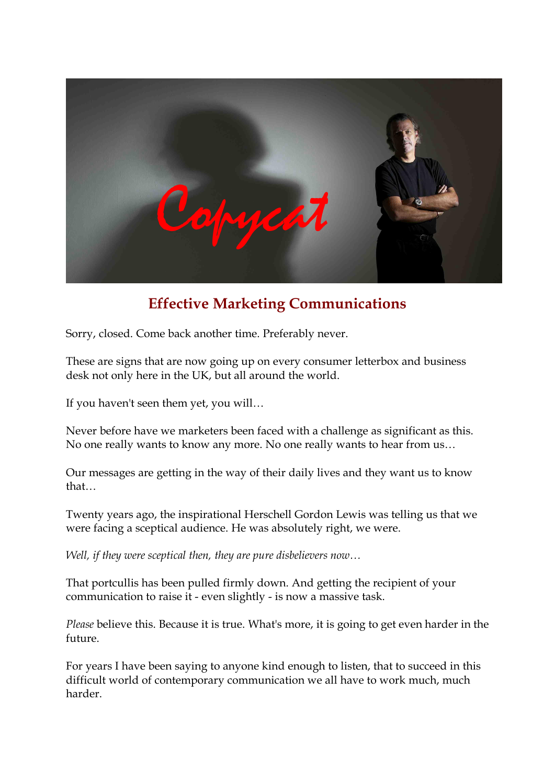

## **Effective Marketing Communications**

Sorry, closed. Come back another time. Preferably never.

These are signs that are now going up on every consumer letterbox and business desk not only here in the UK, but all around the world.

If you haven't seen them yet, you will...<br>Never before have we marketers been faced with a challenge as significant as this. No one really wants to know any more. No one really wants to hear from us…

Our messages are getting in the way of their daily lives and they want us to know that…

Twenty years ago, the inspirational Herschell Gordon Lewis was telling us that we were facing a sceptical audience. He was absolutely right, we were.

*Well, if they were sceptical then, they are pure disbelievers now…*

That portcullis has been pulled firmly down. And getting the recipient of your communication to raise it - even slightly - is now a massive task.

*Please* believe this. Because it is true. What's more, it is going to get even harder in the future.

For years I have been saying to anyone kind enough to listen, that to succeed in this difficult world of contemporary communication we all have to work much, much harder.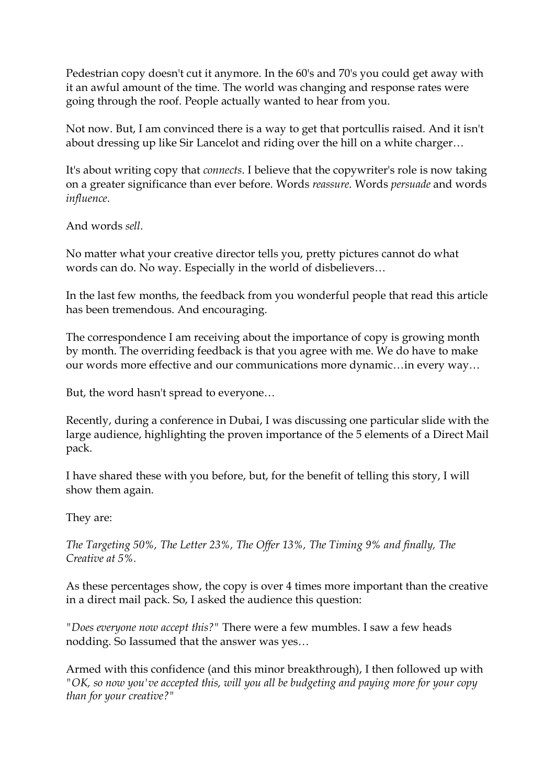Pedestrian copy doesn't cut it anymore. In the 60's and 70's you could get away with it an awful amount of the time. The world was changing and response rates were going through the roof. People actually wanted to hear from you.

Not now. But, I am convinced there is a way to get that portcullis raised. And it isn't about dressing up like Sir Lancelot and riding over the hill on a white charger…

It's about writing copy that *connects*. I believe that the copywriter's role is now taking on a greater significance than ever before. Words *reassure*. Words *persuade* and words *influence*.

And words *sell*.

No matter what your creative director tells you, pretty pictures cannot do what words can do. No way. Especially in the world of disbelievers…

In the last few months, the feedback from you wonderful people that read this article has been tremendous. And encouraging.

The correspondence I am receiving about the importance of copy is growing month by month. The overriding feedback is that you agree with me. We do have to make our words more effective and our communications more dynamic…in every way…

But, the word hasn't spread to everyone…

Recently, during a conference in Dubai, I was discussing one particular slide with the large audience, highlighting the proven importance of the 5 elements of a Direct Mail pack.

I have shared these with you before, but, for the benefit of telling this story, I will show them again.

They are:

*The Targeting 50%, The Letter 23%, The Offer 13%, The Timing 9% and finally, The Creative at 5%.*

As these percentages show, the copy is over 4 times more important than the creative in a direct mail pack. So, I asked the audience this question:

*"Does everyone now accept this?"* There were a few mumbles. I saw a few heads nodding. So Iassumed that the answer was yes…

Armed with this confidence (and this minor breakthrough), I then followed up with *"OK, so now you've accepted this, will you all be budgeting and paying more for your copy than for your creative?"*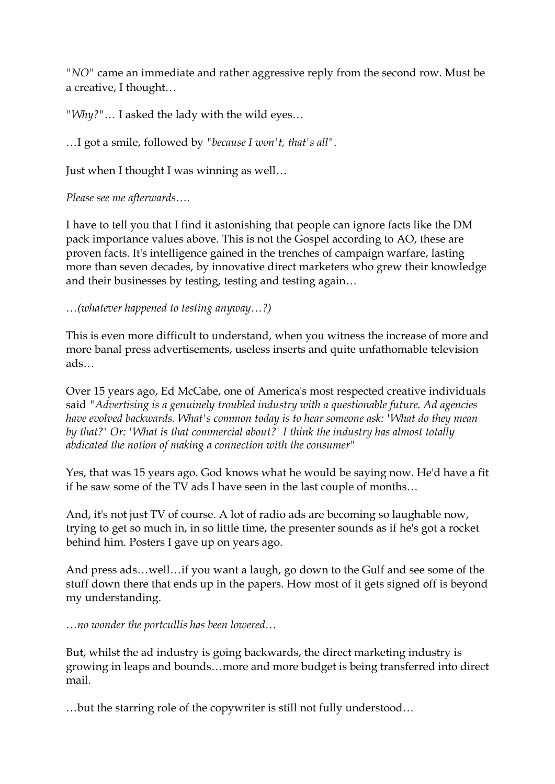*"NO"* came an immediate and rather aggressive reply from the second row. Must be a creative, I thought…

*"Why?"*… I asked the lady with the wild eyes… …I got a smile, followed by *"because <sup>I</sup> won't, that's all"*.

Just when I thought I was winning as well…

*Please see me afterwards….*

I have to tell you that I find it astonishing that people can ignore facts like the DM pack importance values above. This is not the Gospel according to AO, these are proven facts. It's intelligence gained in the trenches of campaign warfare, lasting more than seven decades, by innovative direct marketers who grew their knowledge and their businesses by testing, testing and testing again…

*…(whatever happened to testing anyway…?)*

This is even more difficult to understand, when you witness the increase of more and more banal press advertisements, useless inserts and quite unfathomable television ads…

Over 15 years ago, Ed McCabe, one of America's most respected creative individuals said *"Advertising is a genuinely troubled industry with a questionable future. Ad agencies have evolved backwards. What's common today is to hear someone ask: 'What do they mean by that?' Or: 'What is that commercial about?' I think the industry has almost totally abdicated the notion of making a connection with the consumer"*

Yes, that was 15 years ago. God knows what he would be saying now. He'd have a fit if he saw some of the TV ads I have seen in the last couple of months…

And, it's not just TV of course. A lot of radio ads are becoming so laughable now, trying to get so much in, in so little time, the presenter sounds as if he's got a rocket behind him. Posters I gave up on years ago.

And press ads…well…if you want a laugh, go down to the Gulf and see some of the stuff down there that ends up in the papers. How most of it gets signed off is beyond my understanding.

*…no wonder the portcullis has been lowered…*

But, whilst the ad industry is going backwards, the direct marketing industry is growing in leaps and bounds…more and more budget is being transferred into direct mail.

…but the starring role of the copywriter is still not fully understood…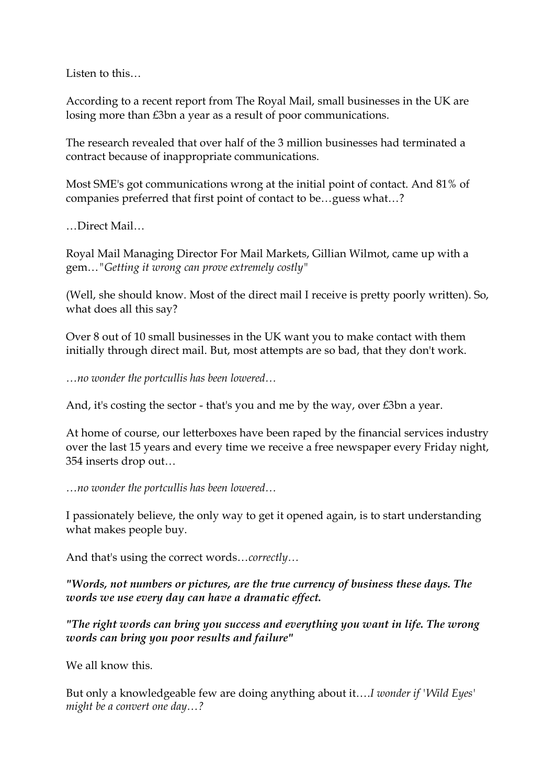Listen to this…

According to a recent report from The Royal Mail, small businesses in the UK are losing more than £3bn a year as a result of poor communications.

The research revealed that over half of the 3 million businesses had terminated a contract because of inappropriate communications.

Most SME's got communications wrong at the initial point of contact. And 81% of companies preferred that first point of contact to be…guess what…? …Direct Mail…

Royal Mail Managing Director For Mail Markets, Gillian Wilmot, came up with a gem…*"Getting it wrong can prove extremely costly"*

(Well, she should know. Most of the direct mail I receive is pretty poorly written). So, what does all this say?

Over 8 out of 10 small businesses in the UK want you to make contact with them initially through direct mail. But, most attempts are so bad, that they don't work.

*…no wonder the portcullis has been lowered…*

And, it's costing the sector - that's you and me by the way, over £3bn a year.

At home of course, our letterboxes have been raped by the financial services industry over the last 15 years and every time we receive a free newspaper every Friday night, 354 inserts drop out…

*…no wonder the portcullis has been lowered…*

I passionately believe, the only way to get it opened again, is to start understanding what makes people buy.

And that's using the correct words…*correctly…*

*"Words, not numbers or pictures, are the true currency of business these days. The words we use every day can have a dramatic effect.*

*"The right words can bring you success and everything you want in life. The wrong words can bring you poor results and failure"*

We all know this.

But only a knowledgeable few are doing anything about it….*I wonder if 'Wild Eyes' might be a convert one day…?*